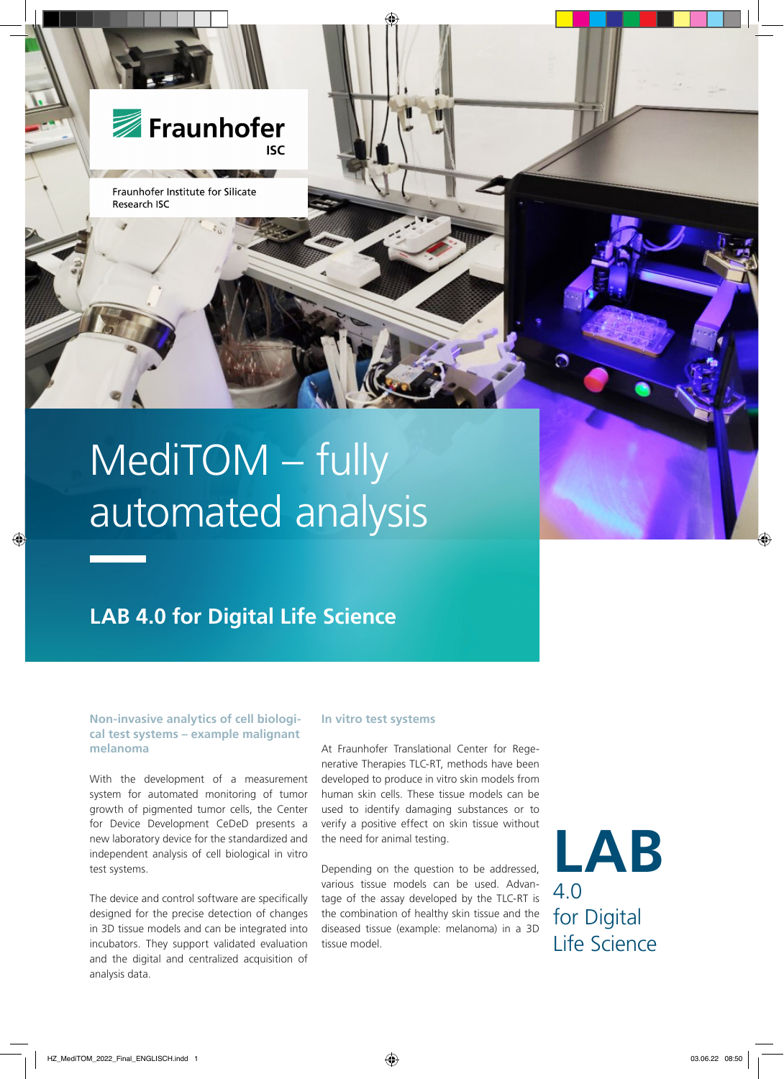

Fraunhofer Institute for Silicate Research ISC

# MediTOM – fully automated analysis

# **LAB 4.0 for Digital Life Science**

# **Non-invasive analytics of cell biological test systems – example malignant melanoma**

With the development of a measurement system for automated monitoring of tumor growth of pigmented tumor cells, the Center for Device Development CeDeD presents a new laboratory device for the standardized and independent analysis of cell biological in vitro test systems.

The device and control software are specifically designed for the precise detection of changes in 3D tissue models and can be integrated into incubators. They support validated evaluation and the digital and centralized acquisition of analysis data.

### **In vitro test systems**

At Fraunhofer Translational Center for Regenerative Therapies TLC-RT, methods have been developed to produce in vitro skin models from human skin cells. These tissue models can be used to identify damaging substances or to verify a positive effect on skin tissue without the need for animal testing.

Depending on the question to be addressed, various tissue models can be used. Advantage of the assay developed by the TLC-RT is the combination of healthy skin tissue and the diseased tissue (example: melanoma) in a 3D tissue model.

**LAB** 4.0 for Digital Life Science